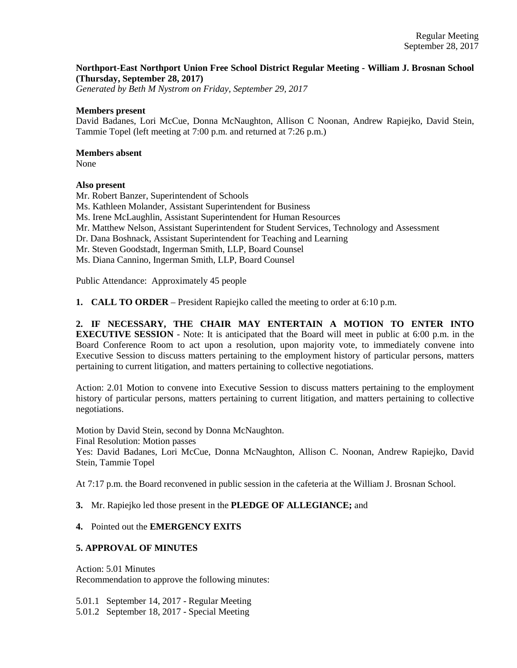### **Northport-East Northport Union Free School District Regular Meeting - William J. Brosnan School (Thursday, September 28, 2017)**

*Generated by Beth M Nystrom on Friday, September 29, 2017*

#### **Members present**

David Badanes, Lori McCue, Donna McNaughton, Allison C Noonan, Andrew Rapiejko, David Stein, Tammie Topel (left meeting at 7:00 p.m. and returned at 7:26 p.m.)

#### **Members absent**

None

### **Also present**

Mr. Robert Banzer, Superintendent of Schools

Ms. Kathleen Molander, Assistant Superintendent for Business

Ms. Irene McLaughlin, Assistant Superintendent for Human Resources

Mr. Matthew Nelson, Assistant Superintendent for Student Services, Technology and Assessment

Dr. Dana Boshnack, Assistant Superintendent for Teaching and Learning

Mr. Steven Goodstadt, Ingerman Smith, LLP, Board Counsel

Ms. Diana Cannino, Ingerman Smith, LLP, Board Counsel

Public Attendance: Approximately 45 people

**1. CALL TO ORDER** – President Rapiejko called the meeting to order at 6:10 p.m.

**2. IF NECESSARY, THE CHAIR MAY ENTERTAIN A MOTION TO ENTER INTO EXECUTIVE SESSION** - Note: It is anticipated that the Board will meet in public at 6:00 p.m. in the Board Conference Room to act upon a resolution, upon majority vote, to immediately convene into Executive Session to discuss matters pertaining to the employment history of particular persons, matters pertaining to current litigation, and matters pertaining to collective negotiations.

Action: 2.01 Motion to convene into Executive Session to discuss matters pertaining to the employment history of particular persons, matters pertaining to current litigation, and matters pertaining to collective negotiations.

Motion by David Stein, second by Donna McNaughton. Final Resolution: Motion passes Yes: David Badanes, Lori McCue, Donna McNaughton, Allison C. Noonan, Andrew Rapiejko, David Stein, Tammie Topel

At 7:17 p.m. the Board reconvened in public session in the cafeteria at the William J. Brosnan School.

**3.** Mr. Rapiejko led those present in the **PLEDGE OF ALLEGIANCE;** and

### **4.** Pointed out the **EMERGENCY EXITS**

### **5. APPROVAL OF MINUTES**

Action: 5.01 Minutes Recommendation to approve the following minutes:

5.01.1 September 14, 2017 - Regular Meeting

5.01.2 September 18, 2017 - Special Meeting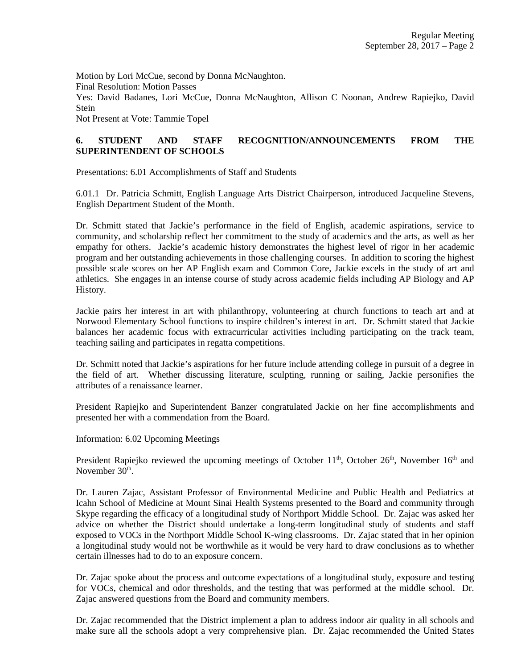Motion by Lori McCue, second by Donna McNaughton. Final Resolution: Motion Passes Yes: David Badanes, Lori McCue, Donna McNaughton, Allison C Noonan, Andrew Rapiejko, David Stein Not Present at Vote: Tammie Topel

# **6. STUDENT AND STAFF RECOGNITION/ANNOUNCEMENTS FROM THE SUPERINTENDENT OF SCHOOLS**

Presentations: 6.01 Accomplishments of Staff and Students

6.01.1 Dr. Patricia Schmitt, English Language Arts District Chairperson, introduced Jacqueline Stevens, English Department Student of the Month.

Dr. Schmitt stated that Jackie's performance in the field of English, academic aspirations, service to community, and scholarship reflect her commitment to the study of academics and the arts, as well as her empathy for others. Jackie's academic history demonstrates the highest level of rigor in her academic program and her outstanding achievements in those challenging courses. In addition to scoring the highest possible scale scores on her AP English exam and Common Core, Jackie excels in the study of art and athletics. She engages in an intense course of study across academic fields including AP Biology and AP History.

Jackie pairs her interest in art with philanthropy, volunteering at church functions to teach art and at Norwood Elementary School functions to inspire children's interest in art. Dr. Schmitt stated that Jackie balances her academic focus with extracurricular activities including participating on the track team, teaching sailing and participates in regatta competitions.

Dr. Schmitt noted that Jackie's aspirations for her future include attending college in pursuit of a degree in the field of art. Whether discussing literature, sculpting, running or sailing, Jackie personifies the attributes of a renaissance learner.

President Rapiejko and Superintendent Banzer congratulated Jackie on her fine accomplishments and presented her with a commendation from the Board.

Information: 6.02 Upcoming Meetings

President Rapiejko reviewed the upcoming meetings of October  $11<sup>th</sup>$ , October  $26<sup>th</sup>$ , November  $16<sup>th</sup>$  and November 30<sup>th</sup>.

Dr. Lauren Zajac, Assistant Professor of Environmental Medicine and Public Health and Pediatrics at Icahn School of Medicine at Mount Sinai Health Systems presented to the Board and community through Skype regarding the efficacy of a longitudinal study of Northport Middle School. Dr. Zajac was asked her advice on whether the District should undertake a long-term longitudinal study of students and staff exposed to VOCs in the Northport Middle School K-wing classrooms. Dr. Zajac stated that in her opinion a longitudinal study would not be worthwhile as it would be very hard to draw conclusions as to whether certain illnesses had to do to an exposure concern.

Dr. Zajac spoke about the process and outcome expectations of a longitudinal study, exposure and testing for VOCs, chemical and odor thresholds, and the testing that was performed at the middle school. Dr. Zajac answered questions from the Board and community members.

Dr. Zajac recommended that the District implement a plan to address indoor air quality in all schools and make sure all the schools adopt a very comprehensive plan. Dr. Zajac recommended the United States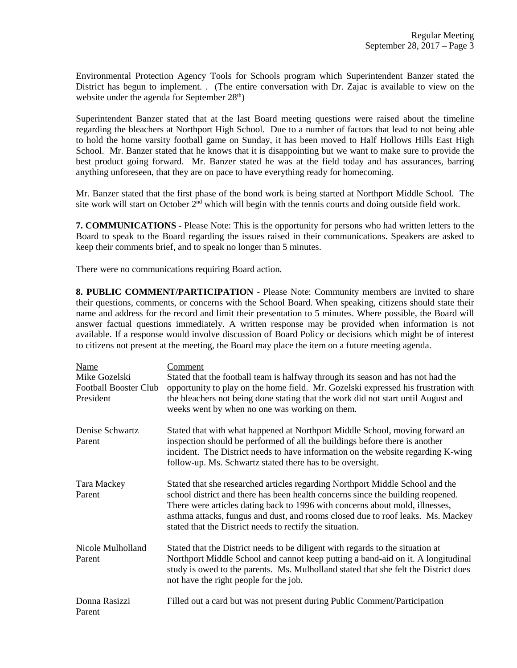Environmental Protection Agency Tools for Schools program which Superintendent Banzer stated the District has begun to implement. . (The entire conversation with Dr. Zajac is available to view on the website under the agenda for September  $28<sup>th</sup>$ )

Superintendent Banzer stated that at the last Board meeting questions were raised about the timeline regarding the bleachers at Northport High School. Due to a number of factors that lead to not being able to hold the home varsity football game on Sunday, it has been moved to Half Hollows Hills East High School. Mr. Banzer stated that he knows that it is disappointing but we want to make sure to provide the best product going forward. Mr. Banzer stated he was at the field today and has assurances, barring anything unforeseen, that they are on pace to have everything ready for homecoming.

Mr. Banzer stated that the first phase of the bond work is being started at Northport Middle School. The site work will start on October  $2<sup>nd</sup>$  which will begin with the tennis courts and doing outside field work.

**7. COMMUNICATIONS** - Please Note: This is the opportunity for persons who had written letters to the Board to speak to the Board regarding the issues raised in their communications. Speakers are asked to keep their comments brief, and to speak no longer than 5 minutes.

There were no communications requiring Board action.

**8. PUBLIC COMMENT/PARTICIPATION** - Please Note: Community members are invited to share their questions, comments, or concerns with the School Board. When speaking, citizens should state their name and address for the record and limit their presentation to 5 minutes. Where possible, the Board will answer factual questions immediately. A written response may be provided when information is not available. If a response would involve discussion of Board Policy or decisions which might be of interest to citizens not present at the meeting, the Board may place the item on a future meeting agenda.

| Name<br>Mike Gozelski<br><b>Football Booster Club</b><br>President | Comment<br>Stated that the football team is halfway through its season and has not had the<br>opportunity to play on the home field. Mr. Gozelski expressed his frustration with<br>the bleachers not being done stating that the work did not start until August and<br>weeks went by when no one was working on them.                                                                         |
|--------------------------------------------------------------------|-------------------------------------------------------------------------------------------------------------------------------------------------------------------------------------------------------------------------------------------------------------------------------------------------------------------------------------------------------------------------------------------------|
| Denise Schwartz<br>Parent                                          | Stated that with what happened at Northport Middle School, moving forward an<br>inspection should be performed of all the buildings before there is another<br>incident. The District needs to have information on the website regarding K-wing<br>follow-up. Ms. Schwartz stated there has to be oversight.                                                                                    |
| Tara Mackey<br>Parent                                              | Stated that she researched articles regarding Northport Middle School and the<br>school district and there has been health concerns since the building reopened.<br>There were articles dating back to 1996 with concerns about mold, illnesses,<br>asthma attacks, fungus and dust, and rooms closed due to roof leaks. Ms. Mackey<br>stated that the District needs to rectify the situation. |
| Nicole Mulholland<br>Parent                                        | Stated that the District needs to be diligent with regards to the situation at<br>Northport Middle School and cannot keep putting a band-aid on it. A longitudinal<br>study is owed to the parents. Ms. Mulholland stated that she felt the District does<br>not have the right people for the job.                                                                                             |
| Donna Rasizzi<br>Parent                                            | Filled out a card but was not present during Public Comment/Participation                                                                                                                                                                                                                                                                                                                       |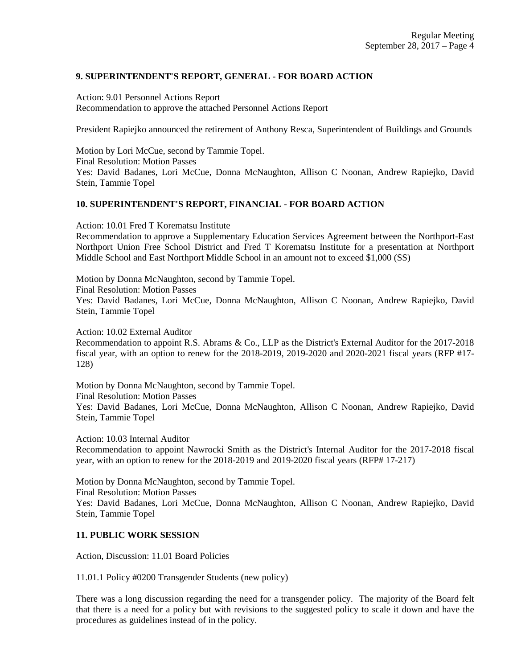# **9. SUPERINTENDENT'S REPORT, GENERAL - FOR BOARD ACTION**

Action: 9.01 Personnel Actions Report Recommendation to approve the attached Personnel Actions Report

President Rapiejko announced the retirement of Anthony Resca, Superintendent of Buildings and Grounds

Motion by Lori McCue, second by Tammie Topel. Final Resolution: Motion Passes Yes: David Badanes, Lori McCue, Donna McNaughton, Allison C Noonan, Andrew Rapiejko, David Stein, Tammie Topel

# **10. SUPERINTENDENT'S REPORT, FINANCIAL - FOR BOARD ACTION**

Action: 10.01 Fred T Korematsu Institute

Recommendation to approve a Supplementary Education Services Agreement between the Northport-East Northport Union Free School District and Fred T Korematsu Institute for a presentation at Northport Middle School and East Northport Middle School in an amount not to exceed \$1,000 (SS)

Motion by Donna McNaughton, second by Tammie Topel.

Final Resolution: Motion Passes

Yes: David Badanes, Lori McCue, Donna McNaughton, Allison C Noonan, Andrew Rapiejko, David Stein, Tammie Topel

Action: 10.02 External Auditor

Recommendation to appoint R.S. Abrams & Co., LLP as the District's External Auditor for the 2017-2018 fiscal year, with an option to renew for the 2018-2019, 2019-2020 and 2020-2021 fiscal years (RFP #17- 128)

Motion by Donna McNaughton, second by Tammie Topel.

Final Resolution: Motion Passes

Yes: David Badanes, Lori McCue, Donna McNaughton, Allison C Noonan, Andrew Rapiejko, David Stein, Tammie Topel

Action: 10.03 Internal Auditor

Recommendation to appoint Nawrocki Smith as the District's Internal Auditor for the 2017-2018 fiscal year, with an option to renew for the 2018-2019 and 2019-2020 fiscal years (RFP# 17-217)

Motion by Donna McNaughton, second by Tammie Topel. Final Resolution: Motion Passes Yes: David Badanes, Lori McCue, Donna McNaughton, Allison C Noonan, Andrew Rapiejko, David Stein, Tammie Topel

### **11. PUBLIC WORK SESSION**

Action, Discussion: 11.01 Board Policies

11.01.1 Policy #0200 Transgender Students (new policy)

There was a long discussion regarding the need for a transgender policy. The majority of the Board felt that there is a need for a policy but with revisions to the suggested policy to scale it down and have the procedures as guidelines instead of in the policy.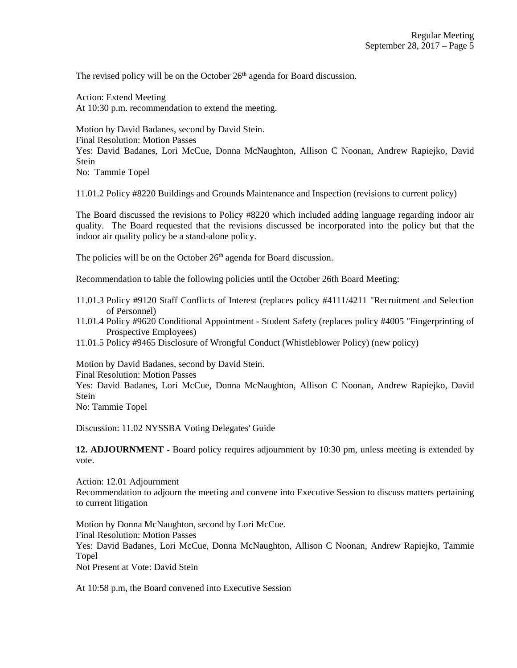The revised policy will be on the October  $26<sup>th</sup>$  agenda for Board discussion.

Action: Extend Meeting At 10:30 p.m. recommendation to extend the meeting.

Motion by David Badanes, second by David Stein. Final Resolution: Motion Passes Yes: David Badanes, Lori McCue, Donna McNaughton, Allison C Noonan, Andrew Rapiejko, David Stein No: Tammie Topel

11.01.2 Policy #8220 Buildings and Grounds Maintenance and Inspection (revisions to current policy)

The Board discussed the revisions to Policy #8220 which included adding language regarding indoor air quality. The Board requested that the revisions discussed be incorporated into the policy but that the indoor air quality policy be a stand-alone policy.

The policies will be on the October  $26<sup>th</sup>$  agenda for Board discussion.

Recommendation to table the following policies until the October 26th Board Meeting:

- 11.01.3 Policy #9120 Staff Conflicts of Interest (replaces policy #4111/4211 "Recruitment and Selection of Personnel)
- 11.01.4 Policy #9620 Conditional Appointment Student Safety (replaces policy #4005 "Fingerprinting of Prospective Employees)
- 11.01.5 Policy #9465 Disclosure of Wrongful Conduct (Whistleblower Policy) (new policy)

Motion by David Badanes, second by David Stein. Final Resolution: Motion Passes Yes: David Badanes, Lori McCue, Donna McNaughton, Allison C Noonan, Andrew Rapiejko, David Stein No: Tammie Topel

Discussion: 11.02 NYSSBA Voting Delegates' Guide

**12. ADJOURNMENT** - Board policy requires adjournment by 10:30 pm, unless meeting is extended by vote.

Action: 12.01 Adjournment Recommendation to adjourn the meeting and convene into Executive Session to discuss matters pertaining to current litigation

Motion by Donna McNaughton, second by Lori McCue. Final Resolution: Motion Passes Yes: David Badanes, Lori McCue, Donna McNaughton, Allison C Noonan, Andrew Rapiejko, Tammie Topel Not Present at Vote: David Stein

At 10:58 p.m, the Board convened into Executive Session